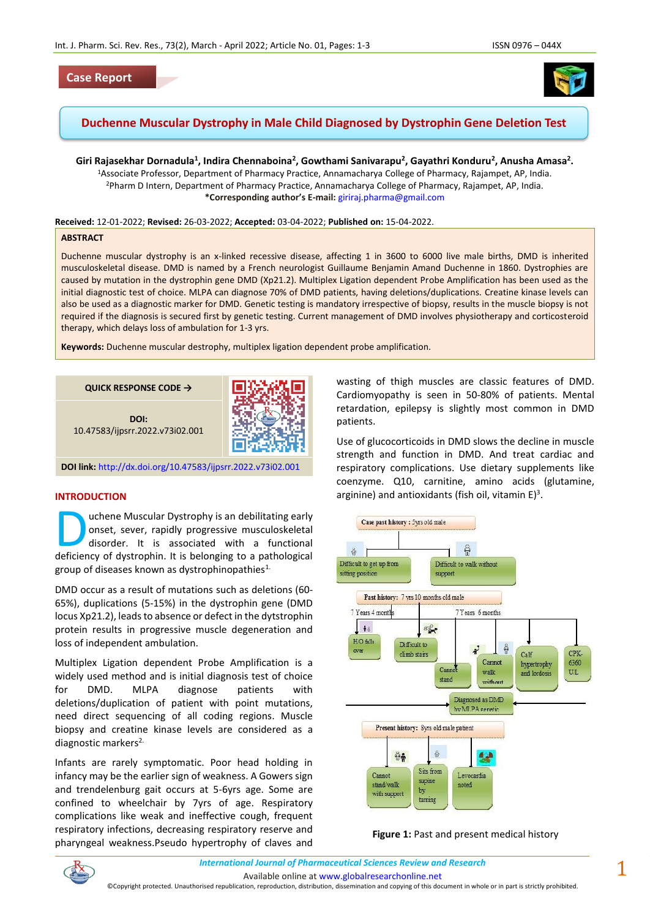## **Case Report**



# **Duchenne Muscular Dystrophy in Male Child Diagnosed by Dystrophin Gene Deletion Test**

**Giri Rajasekhar Dornadula<sup>1</sup> , Indira Chennaboina<sup>2</sup> , Gowthami Sanivarapu<sup>2</sup> , Gayathri Konduru<sup>2</sup> , Anusha Amasa<sup>2</sup> .** <sup>1</sup>Associate Professor, Department of Pharmacy Practice, Annamacharya College of Pharmacy, Rajampet, AP, India. <sup>2</sup>Pharm D Intern, Department of Pharmacy Practice, Annamacharya College of Pharmacy, Rajampet, AP, India. **\*Corresponding author's E-mail:** [giriraj.pharma@gmail.com](mailto:giriraj.pharma@gmail.com)

**Received:** 12-01-2022; **Revised:** 26-03-2022; **Accepted:** 03-04-2022; **Published on:** 15-04-2022.

#### **ABSTRACT**

Duchenne muscular dystrophy is an x-linked recessive disease, affecting 1 in 3600 to 6000 live male births, DMD is inherited musculoskeletal disease. DMD is named by a French neurologist Guillaume Benjamin Amand Duchenne in 1860. Dystrophies are caused by mutation in the dystrophin gene DMD (Xp21.2). Multiplex Ligation dependent Probe Amplification has been used as the initial diagnostic test of choice. MLPA can diagnose 70% of DMD patients, having deletions/duplications. Creatine kinase levels can also be used as a diagnostic marker for DMD. Genetic testing is mandatory irrespective of biopsy, results in the muscle biopsy is not required if the diagnosis is secured first by genetic testing. Current management of DMD involves physiotherapy and corticosteroid therapy, which delays loss of ambulation for 1-3 yrs.

**Keywords:** Duchenne muscular destrophy, multiplex ligation dependent probe amplification.



**DOI link:** <http://dx.doi.org/10.47583/ijpsrr.2022.v73i02.001>

#### **INTRODUCTION**

uchene Muscular Dystrophy is an debilitating early onset, sever, rapidly progressive musculoskeletal disorder. It is associated with a functional **Definition Contains Contains Contains Contains Contains Contains Contains Contains Contains Contains Contains Contained Authority of dystrophin.** It is belonging to a pathological contains a functional contains  $\alpha$  patho group of diseases known as dystrophinopathies $1$ .

DMD occur as a result of mutations such as deletions (60- 65%), duplications (5-15%) in the dystrophin gene (DMD locus Xp21.2), leads to absence or defect in the dytstrophin protein results in progressive muscle degeneration and loss of independent ambulation.

Multiplex Ligation dependent Probe Amplification is a widely used method and is initial diagnosis test of choice for DMD. MLPA diagnose patients with deletions/duplication of patient with point mutations, need direct sequencing of all coding regions. Muscle biopsy and creatine kinase levels are considered as a diagnostic markers<sup>2.</sup>

Infants are rarely symptomatic. Poor head holding in infancy may be the earlier sign of weakness. A Gowers sign and trendelenburg gait occurs at 5-6yrs age. Some are confined to wheelchair by 7yrs of age. Respiratory complications like weak and ineffective cough, frequent respiratory infections, decreasing respiratory reserve and pharyngeal weakness.Pseudo hypertrophy of claves and wasting of thigh muscles are classic features of DMD. Cardiomyopathy is seen in 50-80% of patients. Mental retardation, epilepsy is slightly most common in DMD patients.

Use of glucocorticoids in DMD slows the decline in muscle strength and function in DMD. And treat cardiac and respiratory complications. Use dietary supplements like coenzyme. Q10, carnitine, amino acids (glutamine, arginine) and antioxidants (fish oil, vitamin  $E$ )<sup>3</sup>.



**Figure 1:** Past and present medical history

Available online a[t www.globalresearchonline.net](http://www.globalresearchonline.net/)

©Copyright protected. Unauthorised republication, reproduction, distribution, dissemination and copying of this document in whole or in part is strictly prohibited.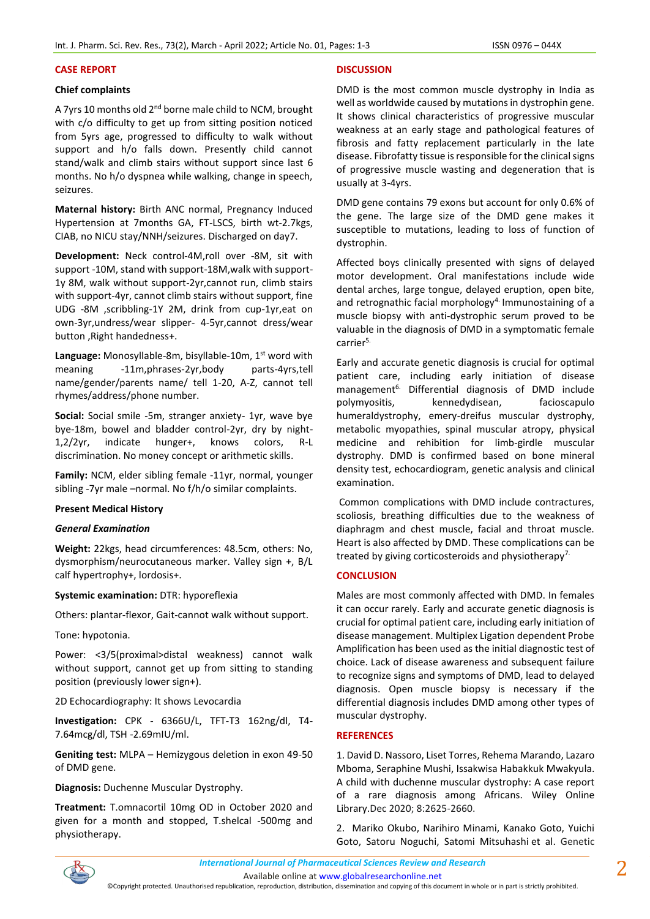### **CASE REPORT**

### **Chief complaints**

A 7yrs 10 months old 2<sup>nd</sup> borne male child to NCM, brought with c/o difficulty to get up from sitting position noticed from 5yrs age, progressed to difficulty to walk without support and h/o falls down. Presently child cannot stand/walk and climb stairs without support since last 6 months. No h/o dyspnea while walking, change in speech, seizures.

**Maternal history:** Birth ANC normal, Pregnancy Induced Hypertension at 7months GA, FT-LSCS, birth wt-2.7kgs, CIAB, no NICU stay/NNH/seizures. Discharged on day7.

**Development:** Neck control-4M,roll over -8M, sit with support -10M, stand with support-18M,walk with support-1y 8M, walk without support-2yr,cannot run, climb stairs with support-4yr, cannot climb stairs without support, fine UDG -8M ,scribbling-1Y 2M, drink from cup-1yr,eat on own-3yr,undress/wear slipper- 4-5yr,cannot dress/wear button ,Right handedness+.

Language: Monosyllable-8m, bisyllable-10m, 1<sup>st</sup> word with meaning -11m,phrases-2yr,body parts-4yrs,tell name/gender/parents name/ tell 1-20, A-Z, cannot tell rhymes/address/phone number.

**Social:** Social smile -5m, stranger anxiety- 1yr, wave bye bye-18m, bowel and bladder control-2yr, dry by night-1,2/2yr, indicate hunger+, knows colors, R-L discrimination. No money concept or arithmetic skills.

**Family:** NCM, elder sibling female -11yr, normal, younger sibling -7yr male –normal. No f/h/o similar complaints.

### **Present Medical History**

### *General Examination*

**Weight:** 22kgs, head circumferences: 48.5cm, others: No, dysmorphism/neurocutaneous marker. Valley sign +, B/L calf hypertrophy+, lordosis+.

### **Systemic examination:** DTR: hyporeflexia

Others: plantar-flexor, Gait-cannot walk without support.

Tone: hypotonia.

Power: <3/5(proximal>distal weakness) cannot walk without support, cannot get up from sitting to standing position (previously lower sign+).

### 2D Echocardiography: It shows Levocardia

**Investigation:** CPK - 6366U/L, TFT-T3 162ng/dl, T4- 7.64mcg/dl, TSH -2.69mIU/ml.

**Geniting test:** MLPA – Hemizygous deletion in exon 49-50 of DMD gene.

**Diagnosis:** Duchenne Muscular Dystrophy.

**Treatment:** T.omnacortil 10mg OD in October 2020 and given for a month and stopped, T.shelcal -500mg and physiotherapy.

#### **DISCUSSION**

DMD is the most common muscle dystrophy in India as well as worldwide caused by mutations in dystrophin gene. It shows clinical characteristics of progressive muscular weakness at an early stage and pathological features of fibrosis and fatty replacement particularly in the late disease. Fibrofatty tissue is responsible for the clinical signs of progressive muscle wasting and degeneration that is usually at 3-4yrs.

DMD gene contains 79 exons but account for only 0.6% of the gene. The large size of the DMD gene makes it susceptible to mutations, leading to loss of function of dystrophin.

Affected boys clinically presented with signs of delayed motor development. Oral manifestations include wide dental arches, large tongue, delayed eruption, open bite, and retrognathic facial morphology<sup>4.</sup> Immunostaining of a muscle biopsy with anti-dystrophic serum proved to be valuable in the diagnosis of DMD in a symptomatic female carrier5.

Early and accurate genetic diagnosis is crucial for optimal patient care, including early initiation of disease management<sup>6.</sup> Differential diagnosis of DMD include polymyositis, kennedydisean, facioscapulo humeraldystrophy, emery-dreifus muscular dystrophy, metabolic myopathies, spinal muscular atropy, physical medicine and rehibition for limb-girdle muscular dystrophy. DMD is confirmed based on bone mineral density test, echocardiogram, genetic analysis and clinical examination.

Common complications with DMD include contractures, scoliosis, breathing difficulties due to the weakness of diaphragm and chest muscle, facial and throat muscle. Heart is also affected by DMD. These complications can be treated by giving corticosteroids and physiotherapy<sup>7.</sup>

### **CONCLUSION**

Males are most commonly affected with DMD. In females it can occur rarely. Early and accurate genetic diagnosis is crucial for optimal patient care, including early initiation of disease management. Multiplex Ligation dependent Probe Amplification has been used as the initial diagnostic test of choice. Lack of disease awareness and subsequent failure to recognize signs and symptoms of DMD, lead to delayed diagnosis. Open muscle biopsy is necessary if the differential diagnosis includes DMD among other types of muscular dystrophy.

#### **REFERENCES**

1. David D. Nassoro, Liset Torres, Rehema Marando, Lazaro Mboma, Seraphine Mushi, Issakwisa Habakkuk Mwakyula. A child with duchenne muscular dystrophy: A case report of a rare diagnosis among Africans. Wiley Online Library.Dec 2020; 8:2625-2660.

2. Mariko Okubo, Narihiro Minami, Kanako Goto, Yuichi Goto, Satoru Noguchi, Satomi Mitsuhashi et al. Genetic



Available online a[t www.globalresearchonline.net](http://www.globalresearchonline.net/)

©Copyright protected. Unauthorised republication, reproduction, distribution, dissemination and copying of this document in whole or in part is strictly prohibited.